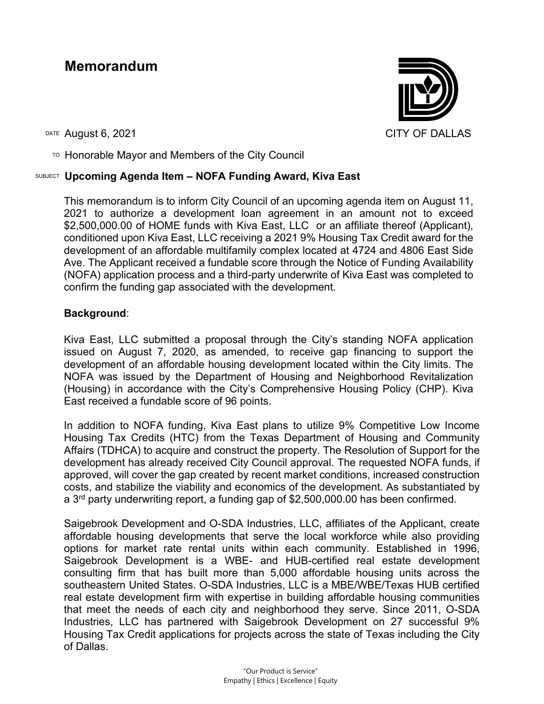# **Memorandum**



 $T$ <sup>O</sup> Honorable Mayor and Members of the City Council

# SUBJECT **Upcoming Agenda Item – NOFA Funding Award, Kiva East**

This memorandum is to inform City Council of an upcoming agenda item on August 11, 2021 to authorize a development loan agreement in an amount not to exceed \$2,500,000.00 of HOME funds with Kiva East, LLC or an affiliate thereof (Applicant), conditioned upon Kiva East, LLC receiving a 2021 9% Housing Tax Credit award for the development of an affordable multifamily complex located at 4724 and 4806 East Side Ave. The Applicant received a fundable score through the Notice of Funding Availability (NOFA) application process and a third-party underwrite of Kiva East was completed to confirm the funding gap associated with the development.

## **Background**:

Kiva East, LLC submitted a proposal through the City's standing NOFA application issued on August 7, 2020, as amended, to receive gap financing to support the development of an affordable housing development located within the City limits. The NOFA was issued by the Department of Housing and Neighborhood Revitalization (Housing) in accordance with the City's Comprehensive Housing Policy (CHP). Kiva East received a fundable score of 96 points.

In addition to NOFA funding, Kiva East plans to utilize 9% Competitive Low Income Housing Tax Credits (HTC) from the Texas Department of Housing and Community Affairs (TDHCA) to acquire and construct the property. The Resolution of Support for the development has already received City Council approval. The requested NOFA funds, if approved, will cover the gap created by recent market conditions, increased construction costs, and stabilize the viability and economics of the development. As substantiated by a 3rd party underwriting report, a funding gap of \$2,500,000.00 has been confirmed.

Saigebrook Development and O-SDA Industries, LLC, affiliates of the Applicant, create affordable housing developments that serve the local workforce while also providing options for market rate rental units within each community. Established in 1996, Saigebrook Development is a WBE- and HUB-certified real estate development consulting firm that has built more than 5,000 affordable housing units across the southeastern United States. O-SDA Industries, LLC is a MBE/WBE/Texas HUB certified real estate development firm with expertise in building affordable housing communities that meet the needs of each city and neighborhood they serve. Since 2011, O-SDA Industries, LLC has partnered with Saigebrook Development on 27 successful 9% Housing Tax Credit applications for projects across the state of Texas including the City of Dallas.

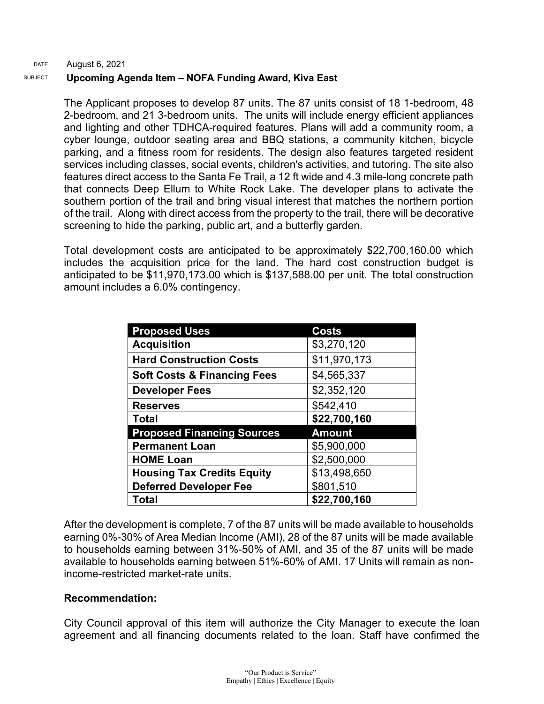#### DATE SUBJECT August 6, 2021 **Upcoming Agenda Item – NOFA Funding Award, Kiva East**

The Applicant proposes to develop 87 units. The 87 units consist of 18 1-bedroom, 48 2-bedroom, and 21 3-bedroom units. The units will include energy efficient appliances and lighting and other TDHCA-required features. Plans will add a community room, a cyber lounge, outdoor seating area and BBQ stations, a community kitchen, bicycle parking, and a fitness room for residents. The design also features targeted resident services including classes, social events, children's activities, and tutoring. The site also features direct access to the Santa Fe Trail, a 12 ft wide and 4.3 mile-long concrete path that connects Deep Ellum to White Rock Lake. The developer plans to activate the southern portion of the trail and bring visual interest that matches the northern portion of the trail. Along with direct access from the property to the trail, there will be decorative screening to hide the parking, public art, and a butterfly garden.

Total development costs are anticipated to be approximately \$22,700,160.00 which includes the acquisition price for the land. The hard cost construction budget is anticipated to be \$11,970,173.00 which is \$137,588.00 per unit. The total construction amount includes a 6.0% contingency.

| <b>Proposed Uses</b>                   | Costs         |
|----------------------------------------|---------------|
| <b>Acquisition</b>                     | \$3,270,120   |
| <b>Hard Construction Costs</b>         | \$11,970,173  |
| <b>Soft Costs &amp; Financing Fees</b> | \$4,565,337   |
| <b>Developer Fees</b>                  | \$2,352,120   |
| <b>Reserves</b>                        | \$542,410     |
| <b>Total</b>                           | \$22,700,160  |
| <b>Proposed Financing Sources</b>      | <b>Amount</b> |
| <b>Permanent Loan</b>                  | \$5,900,000   |
| <b>HOME Loan</b>                       | \$2,500,000   |
| <b>Housing Tax Credits Equity</b>      | \$13,498,650  |
| <b>Deferred Developer Fee</b>          | \$801,510     |
| Total                                  | \$22,700,160  |

After the development is complete, 7 of the 87 units will be made available to households earning 0%-30% of Area Median Income (AMI), 28 of the 87 units will be made available to households earning between 31%-50% of AMI, and 35 of the 87 units will be made available to households earning between 51%-60% of AMI. 17 Units will remain as nonincome-restricted market-rate units.

## **Recommendation:**

City Council approval of this item will authorize the City Manager to execute the loan agreement and all financing documents related to the loan. Staff have confirmed the